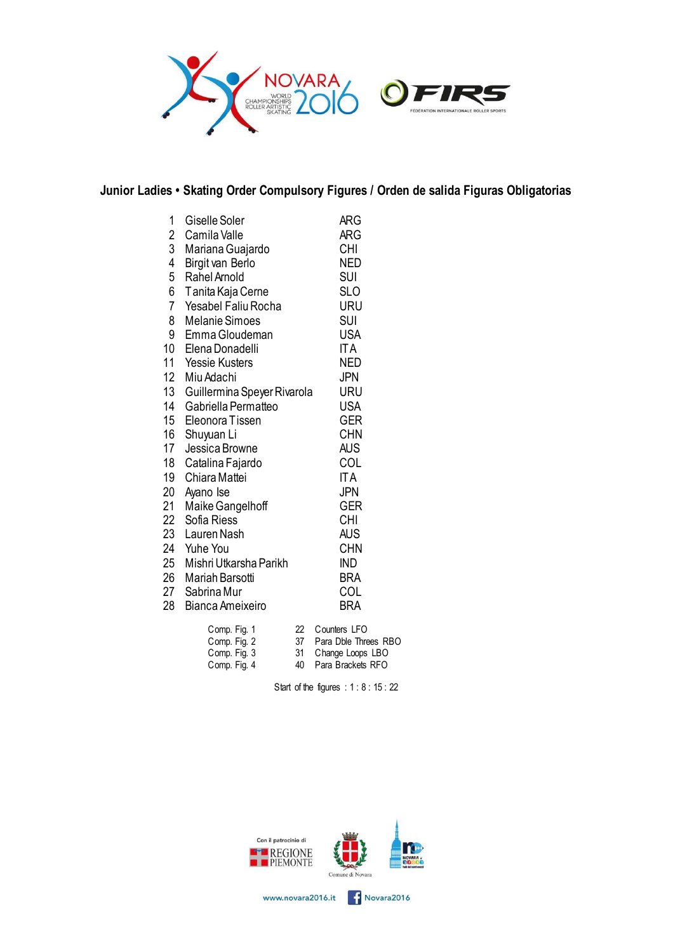

## **Junior Ladies • Skating Order Compulsory Figures / Orden de salida Figuras Obligatorias**

| 1                | Giselle Soler               |    | ARG          |
|------------------|-----------------------------|----|--------------|
| 2                | Camila Valle                |    | ARG          |
| $\overline{3}$   | Mariana Guajardo            |    | <b>CHI</b>   |
| 4                | Birgit van Berlo            |    | <b>NED</b>   |
| 5                | Rahel Arnold                |    | <b>SUI</b>   |
| 6                | Tanita Kaja Cerne           |    | <b>SLO</b>   |
| $\overline{7}$   | <b>Yesabel Faliu Rocha</b>  |    | URU          |
| 8                | <b>Melanie Simoes</b>       |    | SUI          |
| 9                | Emma Gloudeman              |    | <b>USA</b>   |
| 10               | Elena Donadelli             |    | <b>ITA</b>   |
| 11               | <b>Yessie Kusters</b>       |    | <b>NED</b>   |
| 12 <sup>12</sup> | Miu Adachi                  |    | <b>JPN</b>   |
| 13 <sup>13</sup> | Guillermina Speyer Rivarola |    | URU          |
| 14               | Gabriella Permatteo         |    | <b>USA</b>   |
| 15 <sup>15</sup> | Eleonora Tissen             |    | <b>GER</b>   |
| 16               | Shuyuan Li                  |    | <b>CHN</b>   |
| 17 <sup>1</sup>  | Jessica Browne              |    | AUS          |
| 18               | Catalina Fajardo            |    | COL          |
| 19               | Chiara Mattei               |    | <b>ITA</b>   |
| 20               | Ayano Ise                   |    | <b>JPN</b>   |
| 21               | Maike Gangelhoff            |    | <b>GER</b>   |
| 22               | Sofia Riess                 |    | CHI          |
| 23               | Lauren Nash                 |    | <b>AUS</b>   |
| 24               | Yuhe You                    |    | <b>CHN</b>   |
| 25               | Mishri Utkarsha Parikh      |    | <b>IND</b>   |
| 26               | Mariah Barsotti             |    | <b>BRA</b>   |
| 27               | Sabrina Mur                 |    | COL          |
| 28               | Bianca Ameixeiro            |    | <b>BRA</b>   |
|                  | Comp. Fig. 1                | 22 | Counters LFO |

| Comp. Fig. 1 |    | ZZ COUNTERS LFU      |
|--------------|----|----------------------|
| Comp. Fig. 2 | 37 | Para Dble Threes RBO |
| Comp. Fig. 3 |    | 31 Change Loops LBO  |
| Comp. Fig. 4 | 40 | Para Brackets RFO    |

Start of the figures : 1 : 8 : 15 : 22

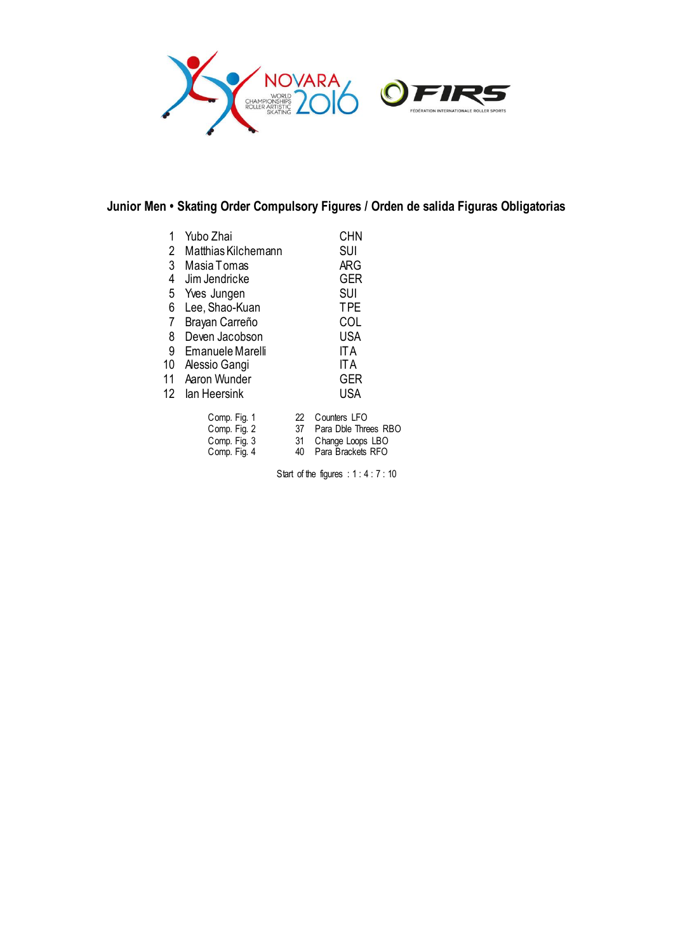

## **Junior Men • Skating Order Compulsory Figures / Orden de salida Figuras Obligatorias**

| 1<br>2<br>3<br>$\overline{4}$<br>5 | Yubo Zhai<br>Matthias Kilchemann<br>Masia Tomas<br>Jim Jendricke<br>Yves Jungen |                      | <b>CHN</b><br><b>SUI</b><br><b>ARG</b><br>GER<br><b>SUI</b>    |
|------------------------------------|---------------------------------------------------------------------------------|----------------------|----------------------------------------------------------------|
| 6                                  | Lee, Shao-Kuan                                                                  |                      | <b>TPE</b>                                                     |
| $\overline{7}$                     | Brayan Carreño                                                                  |                      | COL                                                            |
| 8                                  | Deven Jacobson                                                                  | <b>USA</b>           |                                                                |
| 9                                  | Emanuele Marelli                                                                | <b>ITA</b>           |                                                                |
| 10                                 | Alessio Gangi                                                                   |                      | <b>ITA</b>                                                     |
| 11                                 | Aaron Wunder                                                                    |                      | <b>GER</b>                                                     |
| 12                                 | lan Heersink                                                                    |                      | <b>USA</b>                                                     |
|                                    | Comp. Fig. 1<br>Comp. Fig. 2<br>Comp. Fig. 3<br>Comp. Fig. 4                    | 22<br>37<br>31<br>40 | Counters LFC<br>Para Dble Thi<br>Change Loops<br>Para Brackets |

|  | 22 Counters LFO |  |
|--|-----------------|--|
|  |                 |  |

- Comp. Fig. 2 37 Para Dble Threes RBO
- Comp. Fig. 3 31 Change Loops LBO
- Comp. Fig. 4 40 Para Brackets RFO

Start of the figures : 1 : 4 : 7 : 10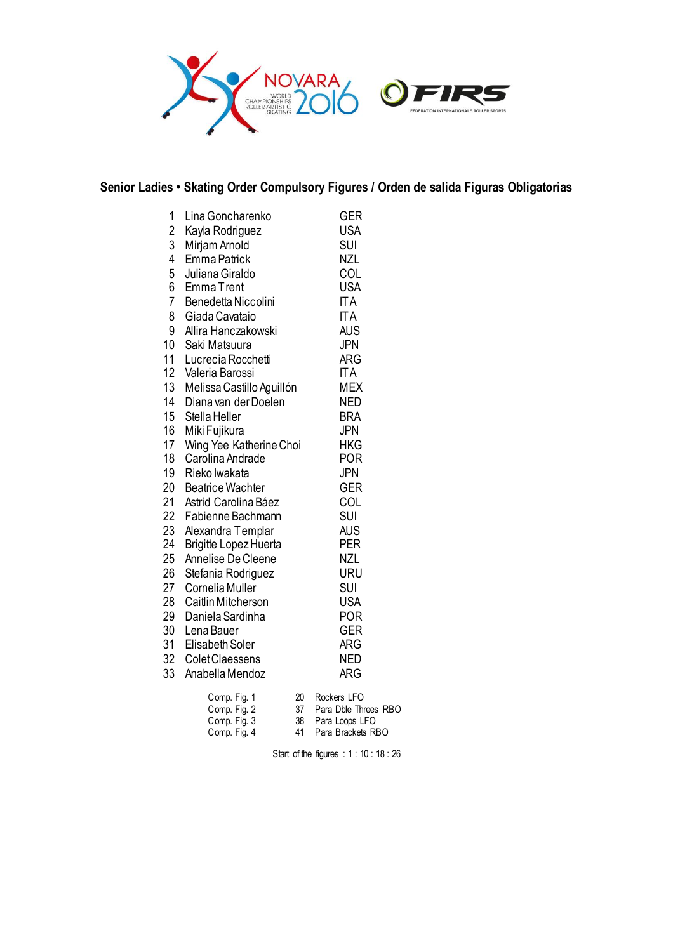

## **Senior Ladies • Skating Order Compulsory Figures / Orden de salida Figuras Obligatorias**

| 1<br>$\overline{c}$<br>3<br>4<br>5<br>6<br>$\overline{7}$<br>8<br>9<br>10<br>11<br>12 <sup>12</sup><br>13 <sup>°</sup><br>14<br>15<br>16<br>17<br>18<br>19<br>20<br>21<br>22<br>23<br>24<br>25<br>26<br>27<br>28<br>29 | Lina Goncharenko<br>Kayla Rodriguez<br>Mirjam Arnold<br>Emma Patrick<br>Juliana Giraldo<br><b>EmmaTrent</b><br>Benedetta Niccolini<br>Giada Cavataio<br>Allira Hanczakowski<br>Saki Matsuura<br>Lucrecia Rocchetti<br>Valeria Barossi<br>Melissa Castillo Aguillón<br>Diana van der Doelen<br>Stella Heller<br>Miki Fujikura<br>Wing Yee Katherine Choi<br>Carolina Andrade<br>Rieko lwakata<br><b>Beatrice Wachter</b><br>Astrid Carolina Báez<br>Fabienne Bachmann<br>Alexandra Templar<br><b>Brigitte Lopez Huerta</b><br>Annelise De Cleene<br>Stefania Rodriguez<br>Cornelia Muller<br>Caitlin Mitcherson<br>Daniela Sardinha | <b>GER</b><br><b>USA</b><br>SUI<br><b>NZL</b><br>COL<br><b>USA</b><br><b>ITA</b><br><b>ITA</b><br><b>AUS</b><br><b>JPN</b><br><b>ARG</b><br><b>ITA</b><br><b>MEX</b><br><b>NED</b><br><b>BRA</b><br>JPN<br><b>HKG</b><br>POR<br><b>JPN</b><br>GER<br>COL<br><b>SUI</b><br><b>AUS</b><br><b>PER</b><br><b>NZL</b><br>URU<br><b>SUI</b><br><b>USA</b><br><b>POR</b> |
|------------------------------------------------------------------------------------------------------------------------------------------------------------------------------------------------------------------------|------------------------------------------------------------------------------------------------------------------------------------------------------------------------------------------------------------------------------------------------------------------------------------------------------------------------------------------------------------------------------------------------------------------------------------------------------------------------------------------------------------------------------------------------------------------------------------------------------------------------------------|-------------------------------------------------------------------------------------------------------------------------------------------------------------------------------------------------------------------------------------------------------------------------------------------------------------------------------------------------------------------|
|                                                                                                                                                                                                                        |                                                                                                                                                                                                                                                                                                                                                                                                                                                                                                                                                                                                                                    |                                                                                                                                                                                                                                                                                                                                                                   |
| 30                                                                                                                                                                                                                     | Lena Bauer                                                                                                                                                                                                                                                                                                                                                                                                                                                                                                                                                                                                                         | GER                                                                                                                                                                                                                                                                                                                                                               |
| 31<br>32 <sup>2</sup><br>33                                                                                                                                                                                            | Elisabeth Soler<br>Colet Claessens<br>Anabella Mendoz                                                                                                                                                                                                                                                                                                                                                                                                                                                                                                                                                                              | <b>ARG</b><br><b>NED</b><br><b>ARG</b>                                                                                                                                                                                                                                                                                                                            |
|                                                                                                                                                                                                                        |                                                                                                                                                                                                                                                                                                                                                                                                                                                                                                                                                                                                                                    |                                                                                                                                                                                                                                                                                                                                                                   |

| Comp. Fig. 1 | 20. | Rockers LFO          |
|--------------|-----|----------------------|
| Comp. Fig. 2 | .37 | Para Dble Threes RBO |
| Comp. Fig. 3 |     | 38 Para Loops LFO    |
| Comp. Fig. 4 | 41  | Para Brackets RBO    |

Start of the figures : 1 : 10 : 18 : 26